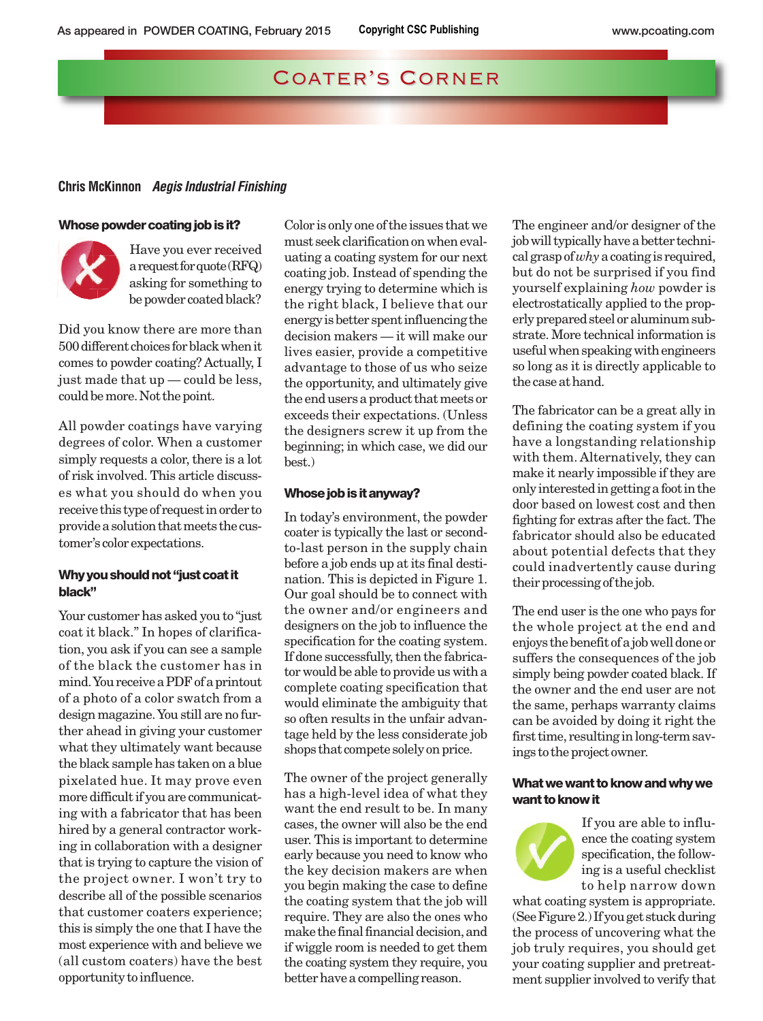# COATER'S CORNER

## **Chris McKinnon** *Aegis Industrial Finishing*

### **Whose powder coating job is it?**

.



Have you ever received a request for quote (RFQ) asking for something to be powder coated black?

Did you know there are more than 500 different choices for black when it comes to powder coating? Actually, I just made that up — could be less, could be more. Not the point.

All powder coatings have varying degrees of color. When a customer simply requests a color, there is a lot of risk involved. This article discusses what you should do when you receive this type of request in order to provide a solution that meets the customer's color expectations.

# **Why you should not "just coat it black"**

Your customer has asked you to "just coat it black." In hopes of clarification, you ask if you can see a sample of the black the customer has in mind. You receive a PDF of a printout of a photo of a color swatch from a design magazine. You still are no further ahead in giving your customer what they ultimately want because the black sample has taken on a blue pixelated hue. It may prove even more difficult if you are communicating with a fabricator that has been hired by a general contractor working in collaboration with a designer that is trying to capture the vision of the project owner. I won't try to describe all of the possible scenarios that customer coaters experience; this is simply the one that I have the most experience with and believe we (all custom coaters) have the best opportunity to influence.

Color is only one of the issues that we must seek clarification on when evaluating a coating system for our next coating job. Instead of spending the energy trying to determine which is the right black, I believe that our energy is better spent influencing the decision makers — it will make our lives easier, provide a competitive advantage to those of us who seize the opportunity, and ultimately give the end users a product that meets or exceeds their expectations. (Unless the designers screw it up from the beginning; in which case, we did our best.)

#### **Whose job is it anyway?**

In today's environment, the powder coater is typically the last or secondto-last person in the supply chain before a job ends up at its final destination. This is depicted in Figure 1. Our goal should be to connect with the owner and/or engineers and designers on the job to influence the specification for the coating system. If done successfully, then the fabricator would be able to provide us with a complete coating specification that would eliminate the ambiguity that so often results in the unfair advantage held by the less considerate job shops that compete solely on price.

The owner of the project generally has a high-level idea of what they want the end result to be. In many cases, the owner will also be the end user. This is important to determine early because you need to know who the key decision makers are when you begin making the case to define the coating system that the job will require. They are also the ones who make the final financial decision, and if wiggle room is needed to get them the coating system they require, you better have a compelling reason.

The engineer and/or designer of the job will typically have a better technical grasp of *why*a coating is required, but do not be surprised if you find yourself explaining *how* powder is electrostatically applied to the properly prepared steel or aluminum substrate. More technical information is useful when speaking with engineers so long as it is directly applicable to the case at hand.

The fabricator can be a great ally in defining the coating system if you have a longstanding relationship with them. Alternatively, they can make it nearly impossible if they are only interested in getting a foot in the door based on lowest cost and then fighting for extras after the fact. The fabricator should also be educated about potential defects that they could inadvertently cause during their processing of the job.

The end user is the one who pays for the whole project at the end and enjoys the benefit of a job well done or suffers the consequences of the job simply being powder coated black. If the owner and the end user are not the same, perhaps warranty claims can be avoided by doing it right the first time, resulting in long-term savings to the project owner.

# **What we want to know and why we want to know it**



If you are able to influence the coating system specification, the following is a useful checklist to help narrow down

what coating system is appropriate. (See Figure 2.) If you get stuck during the process of uncovering what the job truly requires, you should get your coating supplier and pretreatment supplier involved to verify that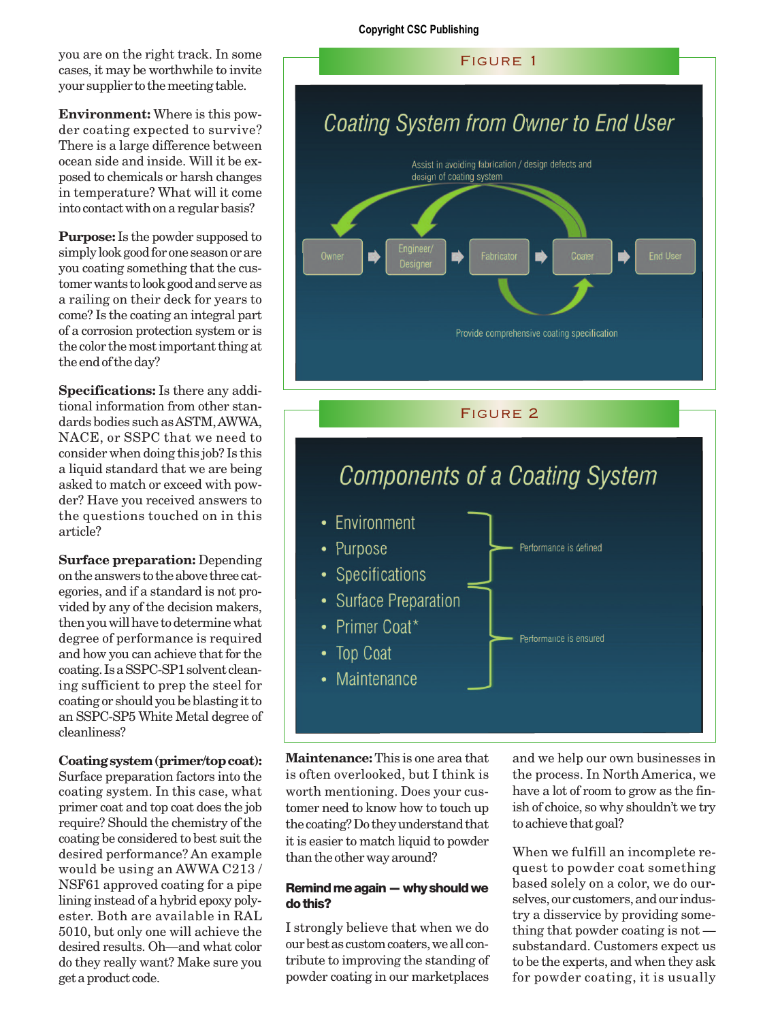#### **Copyright CSC Publishing**

you are on the right track. In some cases, it may be worthwhile to invite your supplier to the meeting table.

**Environment:** Where is this powder coating expected to survive? There is a large difference between ocean side and inside. Will it be exposed to chemicals or harsh changes in temperature? What will it come into contact with on a regular basis?

**Purpose:** Is the powder supposed to simply look good for one season or are you coating something that the customer wants to look good and serve as a railing on their deck for years to come? Is the coating an integral part of a corrosion protection system or is the color the most important thing at the end of the day?

**Specifications:** Is there any additional information from other standards bodies such as ASTM, AWWA, NACE, or SSPC that we need to consider when doing this job? Is this a liquid standard that we are being asked to match or exceed with powder? Have you received answers to the questions touched on in this article?

**Surface preparation:** Depending on the answers to the above three categories, and if a standard is not provided by any of the decision makers, then you will have to determine what degree of performance is required and how you can achieve that for the coating. Is a SSPC-SP1 solvent cleaning sufficient to prep the steel for coating or should you be blasting it to an SSPC-SP5 White Metal degree of cleanliness?

#### **Coating system (primer/top coat):**

Surface preparation factors into the coating system. In this case, what primer coat and top coat does the job require? Should the chemistry of the coating be considered to best suit the desired performance? An example would be using an AWWA C213 / NSF61 approved coating for a pipe lining instead of a hybrid epoxy polyester. Both are available in RAL 5010, but only one will achieve the desired results. Oh—and what color do they really want? Make sure you get a product code.





**Maintenance:** This is one area that is often overlooked, but I think is worth mentioning. Does your customer need to know how to touch up the coating? Do they understand that it is easier to match liquid to powder than the other way around?

# **Remind me again — why should we do this?**

I strongly believe that when we do our best as custom coaters, we all contribute to improving the standing of powder coating in our marketplaces

and we help our own businesses in the process. In North America, we have a lot of room to grow as the finish of choice, so why shouldn't we try to achieve that goal?

When we fulfill an incomplete request to powder coat something based solely on a color, we do ourselves, our customers, and our industry a disservice by providing something that powder coating is not substandard. Customers expect us to be the experts, and when they ask for powder coating, it is usually